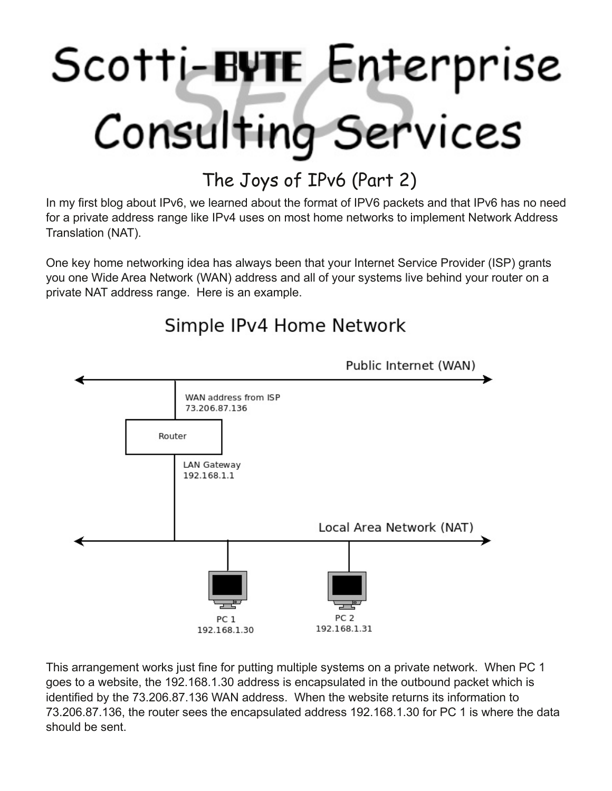# Scotti-BUTE Enterprise Consulting Services

## The Joys of IPv6 (Part 2)

In my first blog about IPv6, we learned about the format of IPV6 packets and that IPv6 has no need for a private address range like IPv4 uses on most home networks to implement Network Address Translation (NAT).

One key home networking idea has always been that your Internet Service Provider (ISP) grants you one Wide Area Network (WAN) address and all of your systems live behind your router on a private NAT address range. Here is an example.

## Public Internet (WAN) WAN address from ISP 73.206.87.136 Router LAN Gateway 192.168.1.1 Local Area Network (NAT) PC<sub>2</sub> PC<sub>1</sub> 192.168.1.31 192.168.1.30

### Simple IPv4 Home Network

This arrangement works just fine for putting multiple systems on a private network. When PC 1 goes to a website, the 192.168.1.30 address is encapsulated in the outbound packet which is identified by the 73.206.87.136 WAN address. When the website returns its information to 73.206.87.136, the router sees the encapsulated address 192.168.1.30 for PC 1 is where the data should be sent.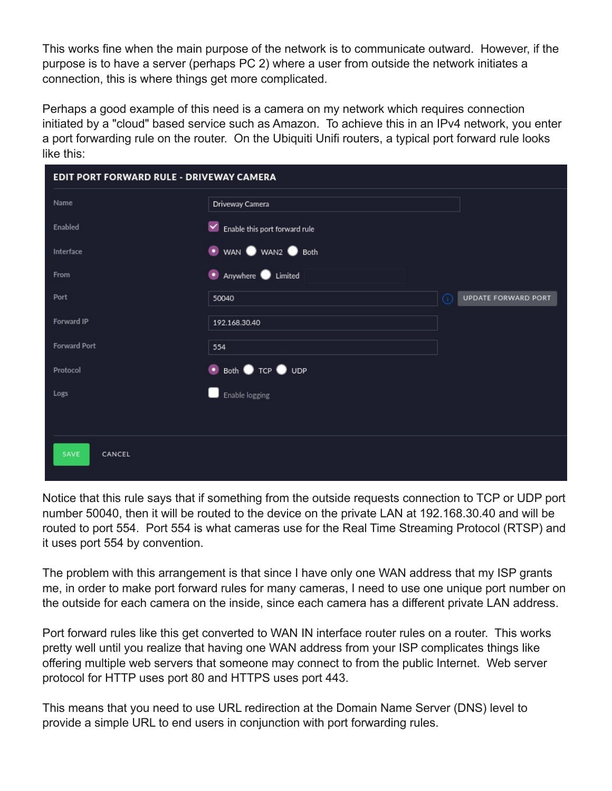This works fine when the main purpose of the network is to communicate outward. However, if the purpose is to have a server (perhaps PC 2) where a user from outside the network initiates a connection, this is where things get more complicated.

Perhaps a good example of this need is a camera on my network which requires connection initiated by a "cloud" based service such as Amazon. To achieve this in an IPv4 network, you enter a port forwarding rule on the router. On the Ubiquiti Unifi routers, a typical port forward rule looks like this:

| EDIT PORT FORWARD RULE - DRIVEWAY CAMERA |                                    |                                  |
|------------------------------------------|------------------------------------|----------------------------------|
| Name                                     | Driveway Camera                    |                                  |
| Enabled                                  | Enable this port forward rule<br>⊻ |                                  |
| Interface                                | ● WAN ● WAN2 ● Both                |                                  |
| From                                     | • Anywhere Limited                 |                                  |
| Port                                     | 50040                              | <b>UPDATE FORWARD PORT</b><br>G) |
| Forward IP                               | 192.168.30.40                      |                                  |
| Forward Port                             | 554                                |                                  |
| Protocol                                 | • Both • TCP • UDP                 |                                  |
| Logs                                     | Enable logging                     |                                  |
|                                          |                                    |                                  |
| SAVE<br>CANCEL                           |                                    |                                  |
|                                          |                                    |                                  |

Notice that this rule says that if something from the outside requests connection to TCP or UDP port number 50040, then it will be routed to the device on the private LAN at 192.168.30.40 and will be routed to port 554. Port 554 is what cameras use for the Real Time Streaming Protocol (RTSP) and it uses port 554 by convention.

The problem with this arrangement is that since I have only one WAN address that my ISP grants me, in order to make port forward rules for many cameras, I need to use one unique port number on the outside for each camera on the inside, since each camera has a different private LAN address.

Port forward rules like this get converted to WAN IN interface router rules on a router. This works pretty well until you realize that having one WAN address from your ISP complicates things like offering multiple web servers that someone may connect to from the public Internet. Web server protocol for HTTP uses port 80 and HTTPS uses port 443.

This means that you need to use URL redirection at the Domain Name Server (DNS) level to provide a simple URL to end users in conjunction with port forwarding rules.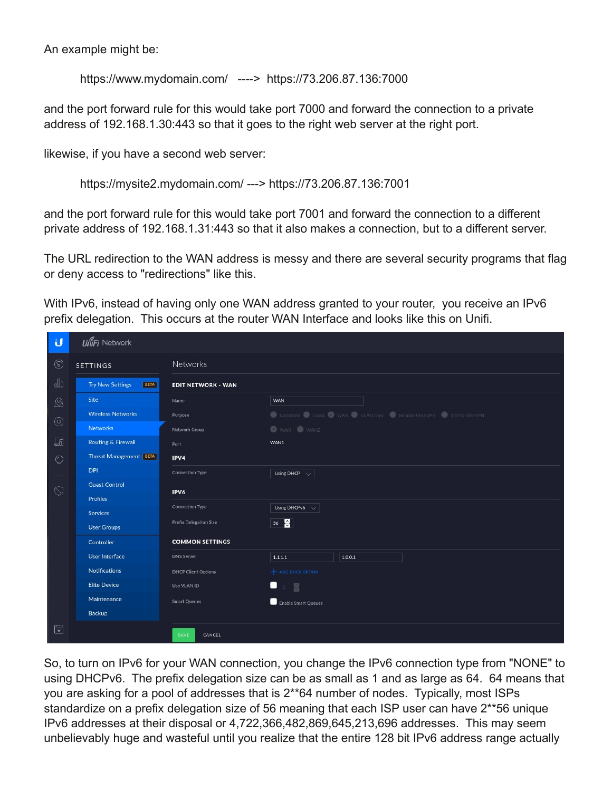An example might be:

https://www.mydomain.com/ ----> https://73.206.87.136.7000

and the port forward rule for this would take port 7000 and forward the connection to a private address of 192.168.1.30:443 so that it goes to the right web server at the right port.

likewise, if you have a second web server:

https://mysite2.mydomain.com/ ---> https://73.206.87.136:7001

and the port forward rule for this would take port 7001 and forward the connection to a different private address of 192.168.1.31:443 so that it also makes a connection, but to a different server.

The URL redirection to the WAN address is messy and there are several security programs that flag or deny access to "redirections" like this.

With IPv6, instead of having only one WAN address granted to your router, you receive an IPv6 prefix delegation. This occurs at the router WAN Interface and looks like this on Unifi.

| $\mathbf{U}$             | <b>UniFi Network</b>                   |                            |                                                                |
|--------------------------|----------------------------------------|----------------------------|----------------------------------------------------------------|
| $^{\circledR}$           | <b>SETTINGS</b>                        | <b>Networks</b>            |                                                                |
| $\underline{\mathbb{d}}$ | <b>Try New Settings</b><br><b>BETA</b> | <b>EDIT NETWORK - WAN</b>  |                                                                |
| $^{\circledR}$           | <b>Site</b>                            | Name                       | WAN                                                            |
|                          | <b>Wireless Networks</b>               | Purpose                    | Corporate Guest WAN VLAN Only Remote User VPN Site-to-Site VPN |
| $\odot$                  | <b>Networks</b>                        | Network Group              | WAN WAN2                                                       |
| 9                        | Routing & Firewall                     | Port                       | WAN1                                                           |
| $\circlearrowright$      | <b>Threat Management</b> BETA          | IPV4                       |                                                                |
|                          | <b>DPI</b>                             | <b>Connection Type</b>     | Using DHCP $\sim$                                              |
| $\circledcirc$           | <b>Guest Control</b>                   | IPV6                       |                                                                |
|                          | Profiles                               | <b>Connection Type</b>     |                                                                |
|                          | Services                               |                            | Using DHCPv6 $\sim$                                            |
|                          | <b>User Groups</b>                     | Prefix Delegation Size     | $56\frac{8}{9}$                                                |
|                          | Controller                             | <b>COMMON SETTINGS</b>     |                                                                |
|                          | User Interface                         | <b>DNS Server</b>          | 1.1.1.1<br>1.0.0.1                                             |
|                          | <b>Notifications</b>                   | <b>DHCP Client Options</b> | $+$ ADD DHCP OPTION                                            |
|                          | <b>Elite Device</b>                    | Use VLAN ID                | $2 \frac{m}{m}$                                                |
|                          | Maintenance                            | <b>Smart Queues</b>        | Enable Smart Queues                                            |
|                          | Backup                                 |                            |                                                                |
| $\mathbb{F}$             |                                        | SAVE<br>CANCEL             |                                                                |

So, to turn on IPv6 for your WAN connection, you change the IPv6 connection type from "NONE" to using DHCPv6. The prefix delegation size can be as small as 1 and as large as 64. 64 means that you are asking for a pool of addresses that is 2\*\*64 number of nodes. Typically, most ISPs standardize on a prefix delegation size of 56 meaning that each ISP user can have 2\*\*56 unique IPv6 addresses at their disposal or 4,722,366,482,869,645,213,696 addresses. This may seem unbelievably huge and wasteful until you realize that the entire 128 bit IPv6 address range actually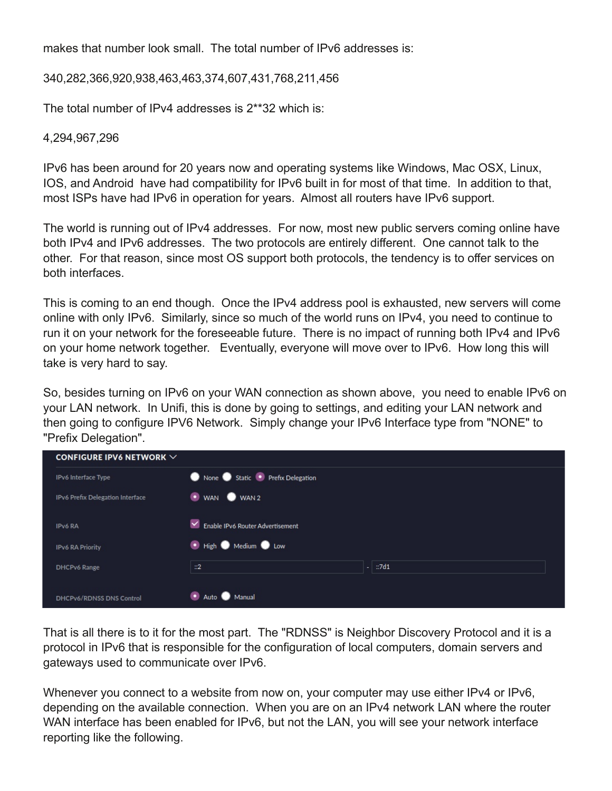makes that number look small. The total number of IPv6 addresses is:

340,282,366,920,938,463,463,374,607,431,768,211,456

The total number of IPv4 addresses is 2\*\*32 which is:

#### 4,294,967,296

IPv6 has been around for 20 years now and operating systems like Windows, Mac OSX, Linux, IOS, and Android have had compatibility for IPv6 built in for most of that time. In addition to that, most ISPs have had IPv6 in operation for years. Almost all routers have IPv6 support.

The world is running out of IPv4 addresses. For now, most new public servers coming online have both IPv4 and IPv6 addresses. The two protocols are entirely different. One cannot talk to the other. For that reason, since most OS support both protocols, the tendency is to offer services on both interfaces.

This is coming to an end though. Once the IPv4 address pool is exhausted, new servers will come online with only IPv6. Similarly, since so much of the world runs on IPv4, you need to continue to run it on your network for the foreseeable future. There is no impact of running both IPv4 and IPv6 on your home network together. Eventually, everyone will move over to IPv6. How long this will take is very hard to say.

So, besides turning on IPv6 on your WAN connection as shown above, you need to enable IPv6 on your LAN network. In Unifi, this is done by going to settings, and editing your LAN network and then going to configure IPV6 Network. Simply change your IPv6 Interface type from "NONE" to "Prefix Delegation".

| CONFIGURE IPV6 NETWORK $\vee$    |                                  |
|----------------------------------|----------------------------------|
| IPv6 Interface Type              | None Static Prefix Delegation    |
| IPv6 Prefix Delegation Interface | WAN WAN2                         |
| IPv6 RA                          | Enable IPv6 Router Advertisement |
| <b>IPv6 RA Priority</b>          | • High • Medium • Low            |
| <b>DHCPv6 Range</b>              | $-$ :7d1<br>$\mathbb{Z}^2$       |
| <b>DHCPv6/RDNSS DNS Control</b>  | Auto Manual                      |

That is all there is to it for the most part. The "RDNSS" is Neighbor Discovery Protocol and it is a protocol in IPv6 that is responsible for the configuration of local computers, domain servers and gateways used to communicate over IPv6.

Whenever you connect to a website from now on, your computer may use either IPv4 or IPv6, depending on the available connection. When you are on an IPv4 network LAN where the router WAN interface has been enabled for IPv6, but not the LAN, you will see your network interface reporting like the following.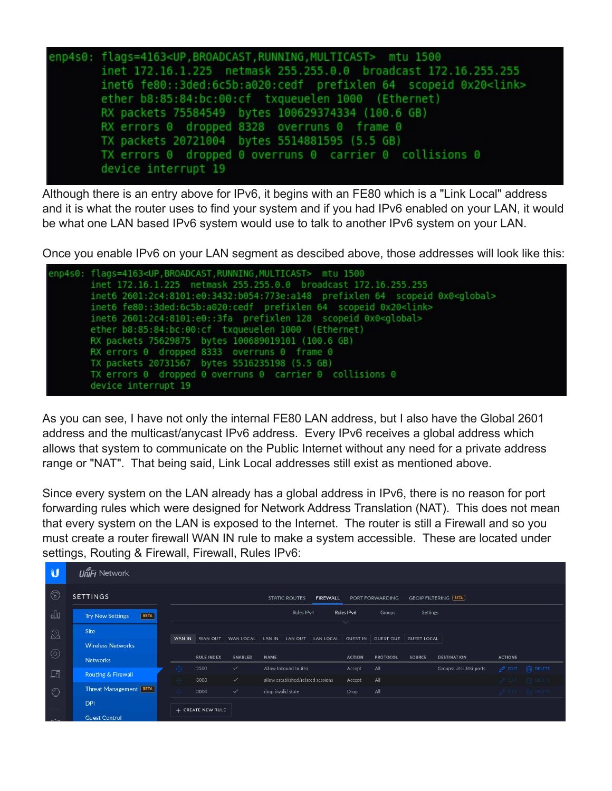

Although there is an entry above for IPv6, it begins with an FE80 which is a "Link Local" address and it is what the router uses to find your system and if you had IPv6 enabled on your LAN, it would be what one LAN based IPv6 system would use to talk to another IPv6 system on your LAN.

Once you enable IPv6 on your LAN segment as descibed above, those addresses will look like this:



As you can see, I have not only the internal FE80 LAN address, but I also have the Global 2601 address and the multicast/anycast IPv6 address. Every IPv6 receives a global address which allows that system to communicate on the Public Internet without any need for a private address range or "NAT". That being said, Link Local addresses still exist as mentioned above.

Since every system on the LAN already has a global address in IPv6, there is no reason for port forwarding rules which were designed for Network Address Translation (NAT). This does not mean that every system on the LAN is exposed to the Internet. The router is still a Firewall and so you must create a router firewall WAN IN rule to make a system accessible. These are located under settings, Routing & Firewall, Firewall, Rules IPv6:

| U           | UniFj Network                          |                   |                   |                |             |                                    |                 |                 |                  |                               |                           |                    |                                  |
|-------------|----------------------------------------|-------------------|-------------------|----------------|-------------|------------------------------------|-----------------|-----------------|------------------|-------------------------------|---------------------------|--------------------|----------------------------------|
| $\circledS$ | <b>SETTINGS</b>                        |                   |                   |                |             | <b>STATIC ROUTES</b>               | <b>FIREWALL</b> |                 | PORT FORWARDING  | <b>GEOIP FILTERING [BETA]</b> |                           |                    |                                  |
| <u>o0o</u>  | <b>BETA</b><br><b>Try New Settings</b> |                   |                   |                |             | Rules IPv4                         |                 | Rules IPv6      | Groups           | Settings                      |                           |                    |                                  |
| ®           | Site                                   |                   |                   |                |             |                                    |                 |                 |                  |                               |                           |                    |                                  |
|             | <b>Wireless Networks</b>               | WAN IN            | WAN OUT           | WAN LOCAL      | LAN IN      | LAN OUT                            | LAN LOCAL       | <b>GUEST IN</b> | <b>GUEST OUT</b> | <b>GUEST LOCAL</b>            |                           |                    |                                  |
| $\odot$     | <b>Networks</b>                        |                   | <b>RULE INDEX</b> | <b>ENABLED</b> | <b>NAME</b> |                                    |                 | <b>ACTION</b>   | <b>PROTOCOL</b>  | <b>SOURCE</b>                 | <b>DESTINATION</b>        | <b>ACTIONS</b>     |                                  |
| <b>国</b>    | <b>Routing &amp; Firewall</b>          | $\Leftrightarrow$ | 2500              | $\checkmark$   |             | Allow Inbound to Jitsi             |                 | Accept          | All              |                               | Groups: Jitsi Jitsi-ports | $\mathscr{P}$ EDIT | <b>IN</b> DELETE                 |
|             |                                        |                   | 3003              | $\checkmark$   |             | allow established/related sessions |                 | Accept          | All              |                               |                           |                    | $\mathscr{P}$ fort $\Box$ delete |
| $\circ$     | Threat Management   BETA               |                   | 3004              | $\checkmark$   |             | drop invalid state                 |                 | Drop            | All              |                               |                           |                    | $\ell$ EDIT IT DELETE            |
|             | <b>DPI</b>                             |                   |                   |                |             |                                    |                 |                 |                  |                               |                           |                    |                                  |
| $\sim$      | <b>Guest Control</b>                   |                   | + CREATE NEW RULE |                |             |                                    |                 |                 |                  |                               |                           |                    |                                  |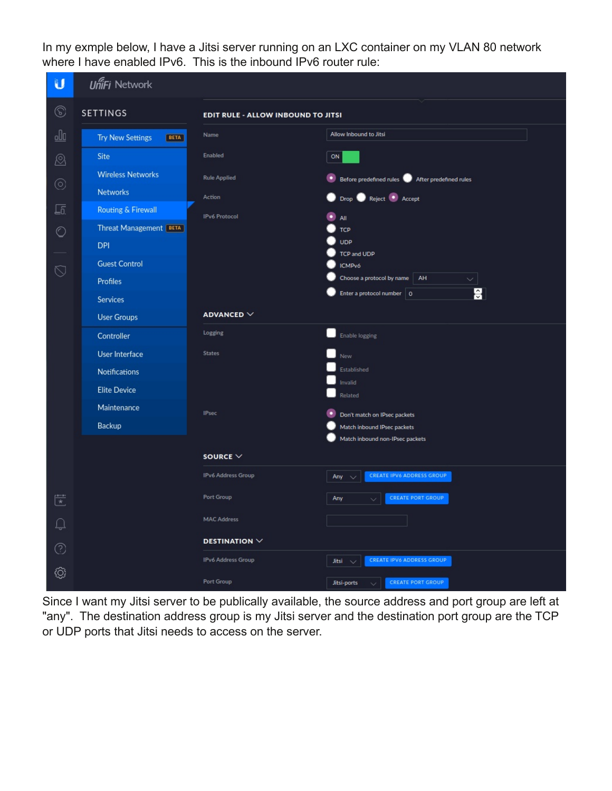In my exmple below, I have a Jitsi server running on an LXC container on my VLAN 80 network where I have enabled IPv6. This is the inbound IPv6 router rule:

| υ                         | <b>UniFi Network</b>            |                                           |                                                             |  |  |  |  |
|---------------------------|---------------------------------|-------------------------------------------|-------------------------------------------------------------|--|--|--|--|
| ⊛                         | <b>SETTINGS</b>                 | <b>EDIT RULE - ALLOW INBOUND TO JITSI</b> |                                                             |  |  |  |  |
| <u>oOo</u>                | <b>Try New Settings</b><br>BETA | Name                                      | Allow Inbound to Jitsi                                      |  |  |  |  |
| ®                         | Site                            | Enabled                                   | ON                                                          |  |  |  |  |
| $^{\circ}$                | <b>Wireless Networks</b>        | <b>Rule Applied</b>                       | Before predefined rules <b>O</b> After predefined rules     |  |  |  |  |
|                           | <b>Networks</b>                 | Action                                    | Reject Accept<br><b>Drop</b>                                |  |  |  |  |
| $\sqrt{5}$                | <b>Routing &amp; Firewall</b>   | <b>IPv6 Protocol</b>                      | All                                                         |  |  |  |  |
| $\circlearrowright$       | Threat Management [BETA]        |                                           | <b>TCP</b>                                                  |  |  |  |  |
|                           | <b>DPI</b>                      |                                           | <b>UDP</b><br>TCP and UDP                                   |  |  |  |  |
|                           | <b>Guest Control</b>            |                                           | <b>ICMPv6</b>                                               |  |  |  |  |
| $\heartsuit$              | <b>Profiles</b>                 |                                           | Choose a protocol by name<br>AH<br>$\checkmark$             |  |  |  |  |
|                           | <b>Services</b>                 |                                           | Н<br>Enter a protocol number   0                            |  |  |  |  |
|                           | <b>User Groups</b>              | ADVANCED $\vee$                           |                                                             |  |  |  |  |
|                           | Controller                      | Logging                                   | Enable logging                                              |  |  |  |  |
|                           | <b>User Interface</b>           | <b>States</b>                             | New                                                         |  |  |  |  |
|                           | Notifications                   |                                           | Established                                                 |  |  |  |  |
|                           | <b>Elite Device</b>             |                                           | Invalid                                                     |  |  |  |  |
|                           | Maintenance                     |                                           | Related                                                     |  |  |  |  |
|                           | Backup                          | <b>IPsec</b>                              | Don't match on IPsec packets<br>Match inbound IPsec packets |  |  |  |  |
|                           |                                 |                                           | Match inbound non-IPsec packets                             |  |  |  |  |
|                           |                                 | SOURCE $\vee$                             |                                                             |  |  |  |  |
|                           |                                 | IPv6 Address Group                        | <b>CREATE IPV6 ADDRESS GROUP</b><br>Any                     |  |  |  |  |
| $\overline{\mathbb{R}^*}$ |                                 | Port Group                                | <b>CREATE PORT GROUP</b><br>Any                             |  |  |  |  |
| $\Box$                    |                                 | <b>MAC Address</b>                        |                                                             |  |  |  |  |
| ⊙                         |                                 | DESTINATION $\vee$                        |                                                             |  |  |  |  |
|                           |                                 | IPv6 Address Group                        | CREATE IPV6 ADDRESS GROUP<br>Jitsi                          |  |  |  |  |
| ۞                         |                                 | Port Group                                | CREATE PORT GROUP<br>Jitsi-ports                            |  |  |  |  |

Since I want my Jitsi server to be publically available, the source address and port group are left at "any". The destination address group is my Jitsi server and the destination port group are the TCP or UDP ports that Jitsi needs to access on the server.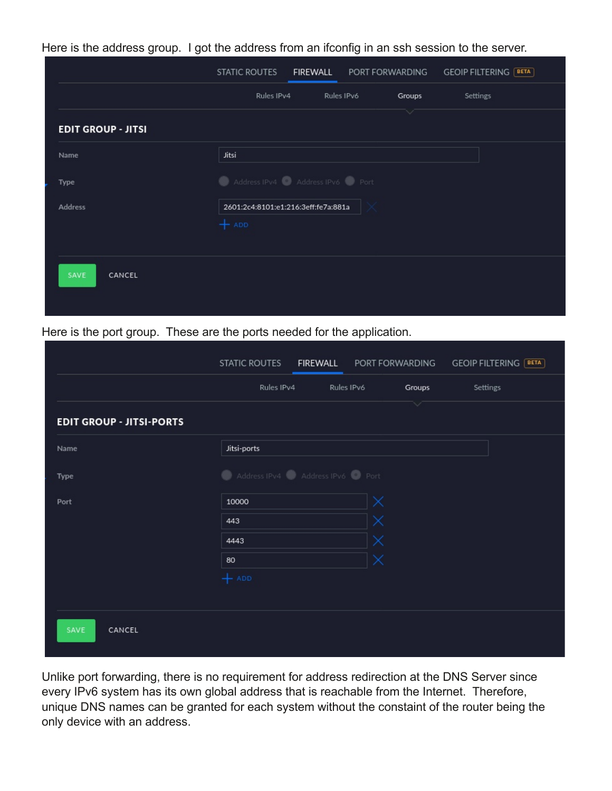|                           | STATIC ROUTES                                  | FIREWALL | PORT FORWARDING |              | <b>GEOIP FILTERING [BETA]</b> |
|---------------------------|------------------------------------------------|----------|-----------------|--------------|-------------------------------|
|                           | Rules IPv4                                     |          | Rules IPv6      | Groups       | Settings                      |
| <b>EDIT GROUP - JITSI</b> |                                                |          |                 | $\checkmark$ |                               |
| Name                      | Jitsi                                          |          |                 |              |                               |
| Type                      | Address IPv4 Address IPv6 Port                 |          |                 |              |                               |
| <b>Address</b>            | 2601:2c4:8101:e1:216:3eff:fe7a:881a<br>$+$ ADD |          |                 |              |                               |
| SAVE<br>CANCEL            |                                                |          |                 |              |                               |

Here is the address group. I got the address from an ifconfig in an ssh session to the server.

#### Here is the port group. These are the ports needed for the application.

|                                 | <b>STATIC ROUTES</b>           | FIREWALL PORT FORWARDING |            |        | <b>GEOIP FILTERING</b> [BETA] |
|---------------------------------|--------------------------------|--------------------------|------------|--------|-------------------------------|
|                                 | Rules IPv4                     |                          | Rules IPv6 | Groups | Settings                      |
| <b>EDIT GROUP - JITSI-PORTS</b> |                                |                          |            | $\vee$ |                               |
| Name                            | Jitsi-ports                    |                          |            |        |                               |
| Type                            | Address IPv4 Address IPv6 Port |                          |            |        |                               |
| Port                            | 10000                          |                          | $\times$   |        |                               |
|                                 | 443                            |                          | ×          |        |                               |
|                                 | 4443                           |                          | $\times$   |        |                               |
|                                 | 80                             |                          | ×          |        |                               |
|                                 | $+$ ADD                        |                          |            |        |                               |
|                                 |                                |                          |            |        |                               |
| SAVE<br>CANCEL                  |                                |                          |            |        |                               |

Unlike port forwarding, there is no requirement for address redirection at the DNS Server since every IPv6 system has its own global address that is reachable from the Internet. Therefore, unique DNS names can be granted for each system without the constaint of the router being the only device with an address.